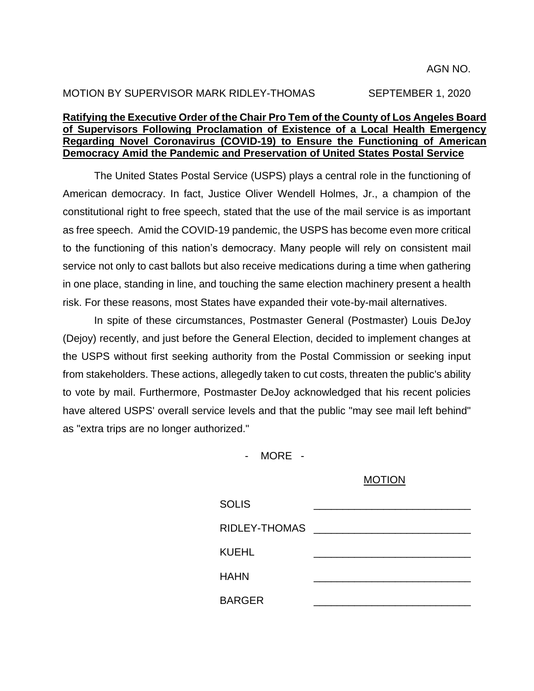# MOTION BY SUPERVISOR MARK RIDLEY-THOMAS SEPTEMBER 1, 2020

## **Ratifying the Executive Order of the Chair Pro Tem of the County of Los Angeles Board of Supervisors Following Proclamation of Existence of a Local Health Emergency Regarding Novel Coronavirus (COVID-19) to Ensure the Functioning of American Democracy Amid the Pandemic and Preservation of United States Postal Service**

The United States Postal Service (USPS) plays a central role in the functioning of American democracy. In fact, Justice Oliver Wendell Holmes, Jr., a champion of the constitutional right to free speech, stated that the use of the mail service is as important as free speech. Amid the COVID-19 pandemic, the USPS has become even more critical to the functioning of this nation's democracy. Many people will rely on consistent mail service not only to cast ballots but also receive medications during a time when gathering in one place, standing in line, and touching the same election machinery present a health risk. For these reasons, most States have expanded their vote-by-mail alternatives.

In spite of these circumstances, Postmaster General (Postmaster) Louis DeJoy (Dejoy) recently, and just before the General Election, decided to implement changes at the USPS without first seeking authority from the Postal Commission or seeking input from stakeholders. These actions, allegedly taken to cut costs, threaten the public's ability to vote by mail. Furthermore, Postmaster DeJoy acknowledged that his recent policies have altered USPS' overall service levels and that the public "may see mail left behind" as "extra trips are no longer authorized."

- MORE -

#### MOTION

| <b>SOLIS</b>  |  |  |
|---------------|--|--|
| RIDLEY-THOMAS |  |  |
| KUEHL         |  |  |
| <b>HAHN</b>   |  |  |
| <b>BARGER</b> |  |  |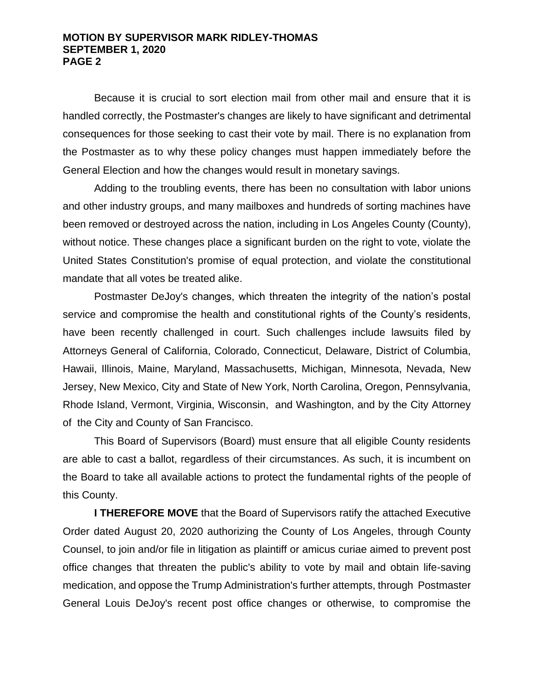#### **MOTION BY SUPERVISOR MARK RIDLEY-THOMAS SEPTEMBER 1, 2020 PAGE 2**

Because it is crucial to sort election mail from other mail and ensure that it is handled correctly, the Postmaster's changes are likely to have significant and detrimental consequences for those seeking to cast their vote by mail. There is no explanation from the Postmaster as to why these policy changes must happen immediately before the General Election and how the changes would result in monetary savings.

Adding to the troubling events, there has been no consultation with labor unions and other industry groups, and many mailboxes and hundreds of sorting machines have been removed or destroyed across the nation, including in Los Angeles County (County), without notice. These changes place a significant burden on the right to vote, violate the United States Constitution's promise of equal protection, and violate the constitutional mandate that all votes be treated alike.

Postmaster DeJoy's changes, which threaten the integrity of the nation's postal service and compromise the health and constitutional rights of the County's residents, have been recently challenged in court. Such challenges include lawsuits filed by Attorneys General of California, Colorado, Connecticut, Delaware, District of Columbia, Hawaii, Illinois, Maine, Maryland, Massachusetts, Michigan, Minnesota, Nevada, New Jersey, New Mexico, City and State of New York, North Carolina, Oregon, Pennsylvania, Rhode Island, Vermont, Virginia, Wisconsin, and Washington, and by the City Attorney of the City and County of San Francisco.

This Board of Supervisors (Board) must ensure that all eligible County residents are able to cast a ballot, regardless of their circumstances. As such, it is incumbent on the Board to take all available actions to protect the fundamental rights of the people of this County.

**I THEREFORE MOVE** that the Board of Supervisors ratify the attached Executive Order dated August 20, 2020 authorizing the County of Los Angeles, through County Counsel, to join and/or file in litigation as plaintiff or amicus curiae aimed to prevent post office changes that threaten the public's ability to vote by mail and obtain life-saving medication, and oppose the Trump Administration's further attempts, through Postmaster General Louis DeJoy's recent post office changes or otherwise, to compromise the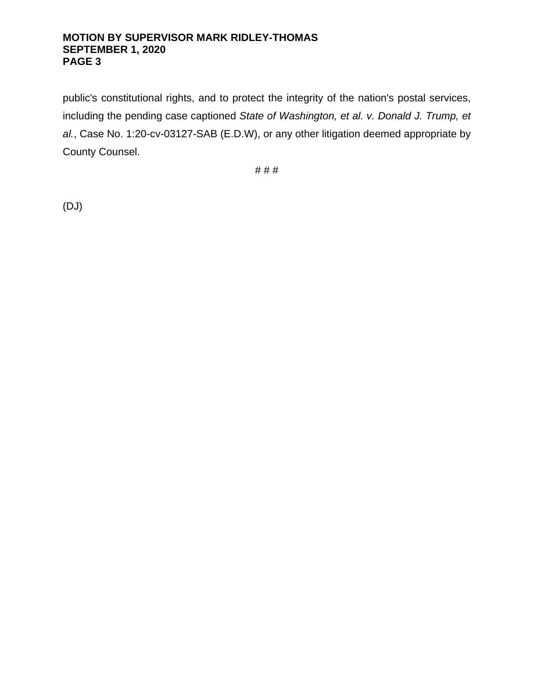## **MOTION BY SUPERVISOR MARK RIDLEY-THOMAS SEPTEMBER 1, 2020 PAGE 3**

public's constitutional rights, and to protect the integrity of the nation's postal services, including the pending case captioned *State of Washington, et al. v. Donald J. Trump, et al.*, Case No. 1:20-cv-03127-SAB (E.D.W), or any other litigation deemed appropriate by County Counsel.

# # #

(DJ)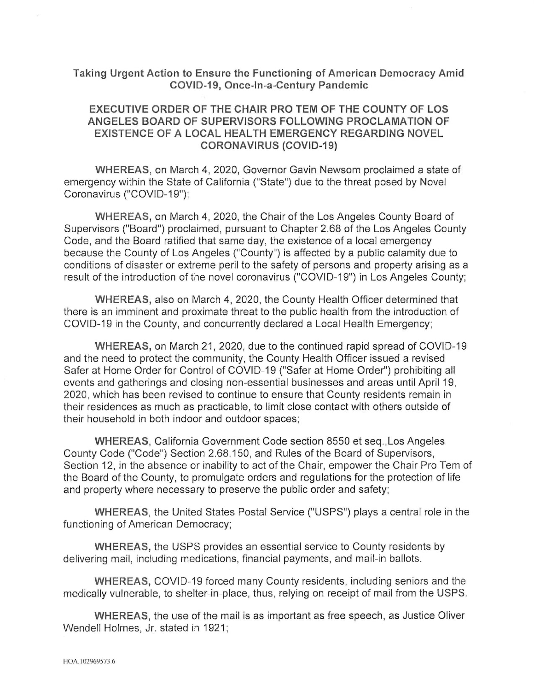### Taking Urgent Action to Ensure the Functioning of American Democracy Amid COVID-19, Once-In-a-Century Pandemic

# EXECUTIVE ORDER OF THE CHAIR PRO TEM OF THE COUNTY OF LOS ANGELES BOARD OF SUPERVISORS FOLLOWING PROCLAMATION OF EXISTENCE OF A LOCAL HEALTH EMERGENCY REGARDING NOVEL CORONAVIRUS (COVID-19)

WHEREAS, on March 4, 2020, Governor Gavin Newsom proclaimed a state of emergency within the State of California ("State") due to the threat posed by Novel Coronavirus ("COVID-19");

WHEREAS, on March 4, 2020, the Chair of the Los Angeles County Board of Supervisors ("Board") proclaimed, pursuant to Chapter 2.68 of the Los Angeles County Code, and the Board ratified that same day, the existence of a local emergency because the County of Los Angeles ("County") is affected by a public calamity due to conditions of disaster or extreme peril to the safety of persons and property arising as a result of the introduction of the novel coronavirus ("COVID-19") in Los Angeles County;

WHEREAS, also on March 4, 2020, the County Health Officer determined that there is an imminent and proximate threat to the public health from the introduction of COVID-19 in the County, and concurrently declared a Local Health Emergency;

WHEREAS, on March 21, 2020, due to the continued rapid spread of COVID-19 and the need to protect the community, the County Health Officer issued a revised Safer at Home Order for Control of COVID-19 ("Safer at Home Order") prohibiting all events and gatherings and closing non-essential businesses and areas until April 19, 2020, which has been revised to continue to ensure that County residents remain in their residences as much as practicable, to limit close contact with others outside of their household in both indoor and outdoor spaces;

WHEREAS, California Government Code section 8550 et seq.,Los Angeles County Code ("Code") Section 2.68.150, and Rules of the Board of Supervisors, Section 12, in the absence or inability to act of the Chair, empower the Chair Pro Tem of the Board of the County, to promulgate orders and regulations for the protection of life and property where necessary to preserve the public order and safety;

WHEREAS, the United States Postal Service ("USPS") plays a central role in the functioning of American Democracy;

WHEREAS, the LISPS provides an essential service to County residents by delivering mail, including medications, financial payments, and mail-in ballots.

WHEREAS, COVID-19 forced many County residents, including seniors and the medically vulnerable, to shelter-in-place, thus, relying on receipt of mail from the LISPS.

WHEREAS, the use of the mail is as important as free speech, as Justice Oliver Wendell Holmes, Jr. stated in 1921;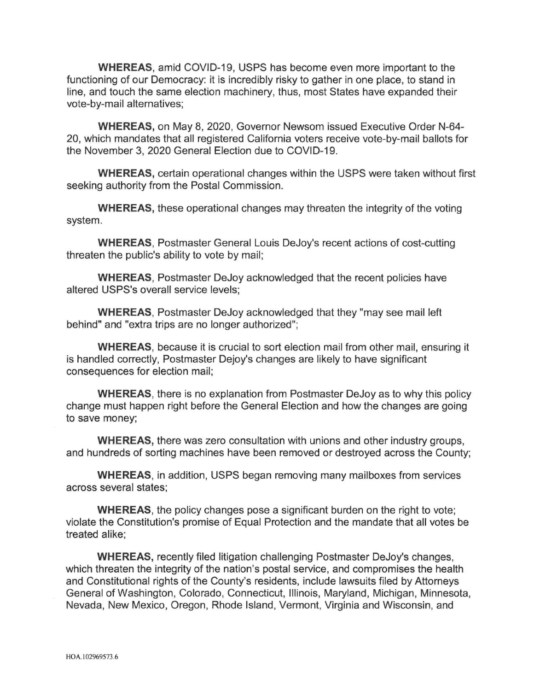WHEREAS, amid COVID-19, USPS has become even more important to the functioning of our Democracy: it is incredibly risky to gather in one place, to stand in line, and touch the same election machinery, thus, most States have expanded their vote-by-mail alternatives;

WHEREAS, on May 8, 2020, Governor Newsom issued Executive Order N-64- 20, which mandates that all registered California voters receive vote-by-mail ballots for the November 3, 2020 General Election due to COVID-19.

WHEREAS, certain operational changes within the USPS were taken without first seeking authority from the Postal Commission.

WHEREAS, these operational changes may threaten the integrity of the voting system.

WHEREAS, Postmaster General Louis DeJoy's recent actions of cost-cutting threaten the public's ability to vote by mail;

WHEREAS, Postmaster DeJoy acknowledged that the recent policies have altered USPS's overall service levels;

WHEREAS, Postmaster DeJoy acknowledged that they "may see mail left behind" and "extra trips are no longer authorized";

WHEREAS, because it is crucial to sort election mail from other mail, ensuring it is handled correctly, Postmaster Dejoy's changes are likely to have significant consequences for election mail;

WHEREAS, there is no explanation from Postmaster DeJoy as to why this policy change must happen right before the General Election and how the changes are going to save money;

WHEREAS, there was zero consultation with unions and other industry groups, and hundreds of sorting machines have been removed or destroyed across the County;

WHEREAS, in addition, USPS began removing many mailboxes from services across several states;

WHEREAS, the policy changes pose a significant burden on the right to vote; violate the Constitution's promise of Equal Protection and the mandate that all votes be treated alike;

WHEREAS, recently filed litigation challenging Postmaster DeJoy's changes, which threaten the integrity of the nation's postal service, and compromises the health and Constitutional rights of the County's residents, include lawsuits filed by Attorneys General of Washington, Colorado, Connecticut, Illinois, Maryland, Michigan, Minnesota, Nevada, New Mexico, Oregon, Rhode Island, Vermont, Virginia and Wisconsin, and